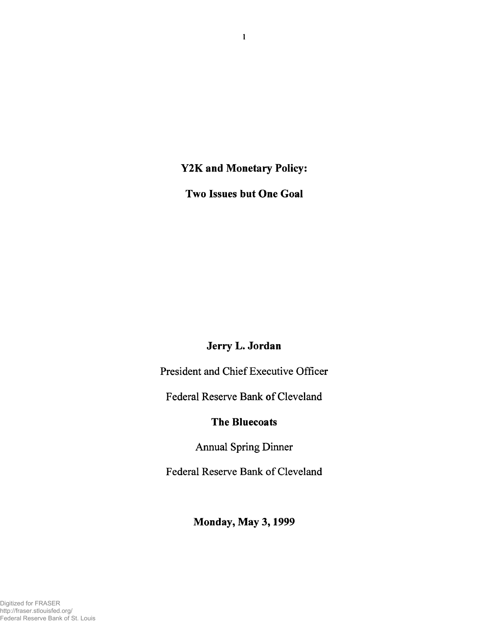**Y2K and Monetary Policy:**

**Two Issues but One Goal**

## **Jerry L. Jordan**

President and Chief Executive Officer

Federal Reserve Bank of Cleveland

## **The Bluecoats**

Annual Spring Dinner

Federal Reserve Bank of Cleveland

**Monday, May 3,1999**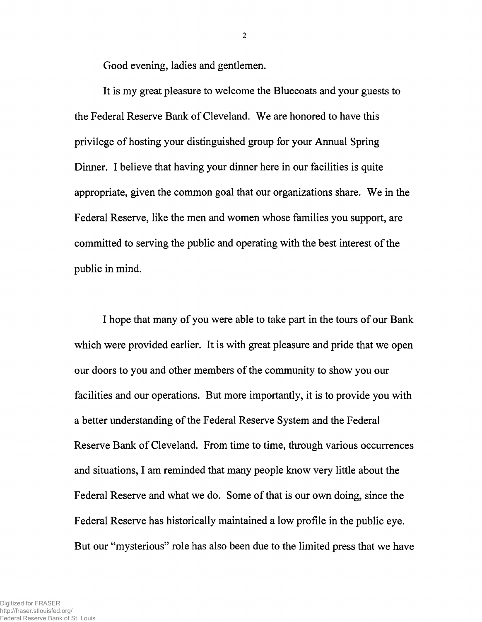Good evening, ladies and gentlemen.

It is my great pleasure to welcome the Bluecoats and your guests to the Federal Reserve Bank of Cleveland. We are honored to have this privilege of hosting your distinguished group for your Annual Spring Dinner. I believe that having your dinner here in our facilities is quite appropriate, given the common goal that our organizations share. We in the Federal Reserve, like the men and women whose families you support, are committed to serving the public and operating with the best interest of the public in mind.

I hope that many of you were able to take part in the tours of our Bank which were provided earlier. It is with great pleasure and pride that we open our doors to you and other members of the community to show you our facilities and our operations. But more importantly, it is to provide you with a better understanding of the Federal Reserve System and the Federal Reserve Bank of Cleveland. From time to time, through various occurrences and situations, I am reminded that many people know very little about the Federal Reserve and what we do. Some of that is our own doing, since the Federal Reserve has historically maintained a low profile in the public eye. But our "mysterious" role has also been due to the limited press that we have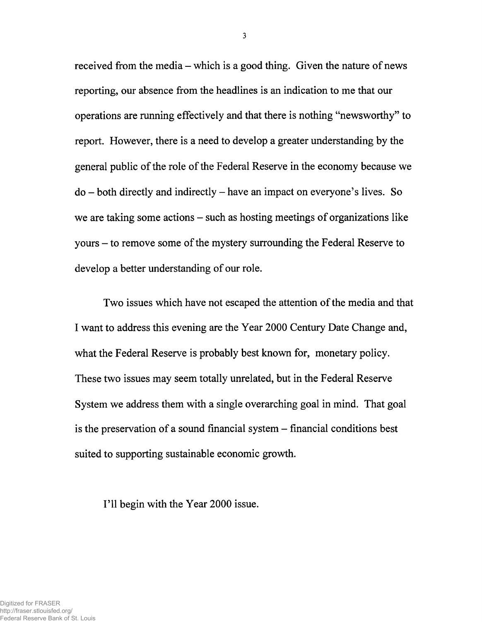received from the media – which is a good thing. Given the nature of news reporting, our absence from the headlines is an indication to me that our operations are running effectively and that there is nothing "newsworthy" to report. However, there is a need to develop a greater understanding by the general public of the role of the Federal Reserve in the economy because we  $do - both directly and indirectly - have an impact on everyone's lives. So$ we are taking some actions – such as hosting meetings of organizations like yours - to remove some of the mystery surrounding the Federal Reserve to develop a better understanding of our role.

Two issues which have not escaped the attention of the media and that I want to address this evening are the Year 2000 Century Date Change and, what the Federal Reserve is probably best known for, monetary policy. These two issues may seem totally unrelated, but in the Federal Reserve System we address them with a single overarching goal in mind. That goal is the preservation of a sound financial system - financial conditions best suited to supporting sustainable economic growth.

I'll begin with the Year 2000 issue.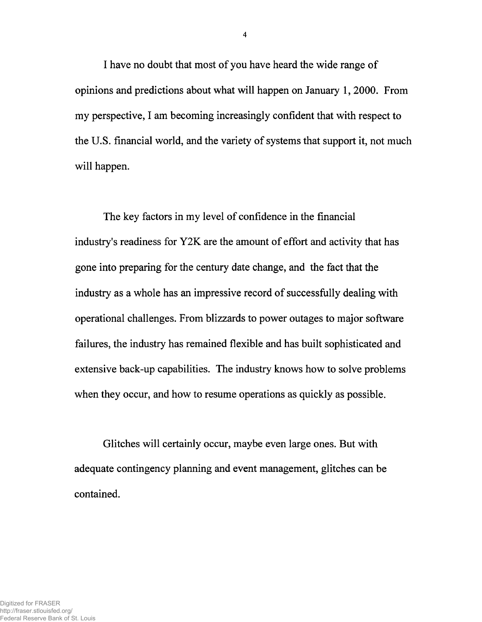I have no doubt that most of you have heard the wide range of opinions and predictions about what will happen on January 1, 2000. From my perspective, I am becoming increasingly confident that with respect to the U.S. financial world, and the variety of systems that support it, not much will happen.

The key factors in my level of confidence in the financial industry's readiness for Y2K are the amount of effort and activity that has gone into preparing for the century date change, and the fact that the industry as a whole has an impressive record of successfully dealing with operational challenges. From blizzards to power outages to major software failures, the industry has remained flexible and has built sophisticated and extensive back-up capabilities. The industry knows how to solve problems when they occur, and how to resume operations as quickly as possible.

Glitches will certainly occur, maybe even large ones. But with adequate contingency planning and event management, glitches can be contained.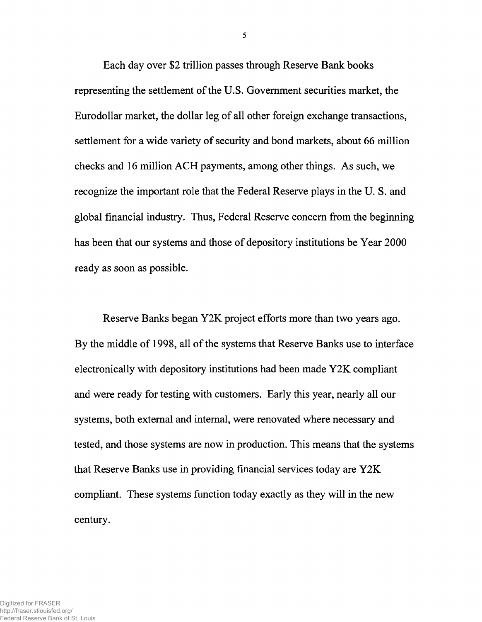Each day over \$2 trillion passes through Reserve Bank books representing the settlement of the U.S. Government securities market, the Eurodollar market, the dollar leg of all other foreign exchange transactions, settlement for a wide variety of security and bond markets, about 66 million checks and 16 million ACH payments, among other things. As such, we recognize the important role that the Federal Reserve plays in the U. S. and global financial industry. Thus, Federal Reserve concern from the beginning has been that our systems and those of depository institutions be Year 2000 ready as soon as possible.

Reserve Banks began Y2K project efforts more than two years ago. By the middle of 1998, all of the systems that Reserve Banks use to interface electronically with depository institutions had been made Y2K compliant and were ready for testing with customers. Early this year, nearly all our systems, both external and internal, were renovated where necessary and tested, and those systems are now in production. This means that the systems that Reserve Banks use in providing financial services today are Y2K compliant. These systems function today exactly as they will in the new century.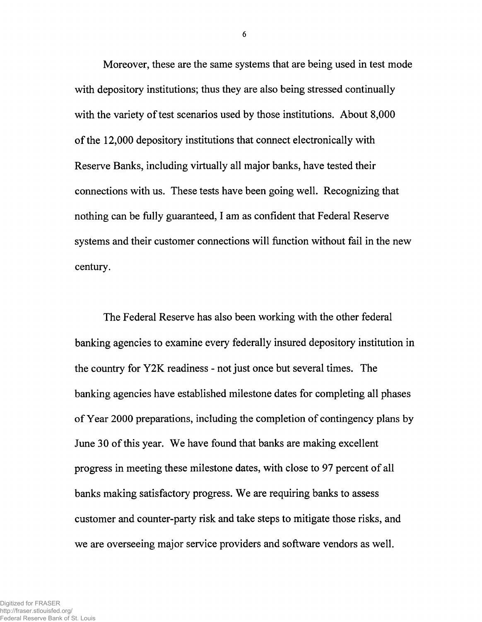Moreover, these are the same systems that are being used in test mode with depository institutions; thus they are also being stressed continually with the variety of test scenarios used by those institutions. About 8,000 of the 12,000 depository institutions that connect electronically with Reserve Banks, including virtually all major banks, have tested their connections with us. These tests have been going well. Recognizing that nothing can be fully guaranteed, I am as confident that Federal Reserve systems and their customer connections will function without fail in the new century.

The Federal Reserve has also been working with the other federal banking agencies to examine every federally insured depository institution in the country for Y2K readiness - not just once but several times. The banking agencies have established milestone dates for completing all phases of Year 2000 preparations, including the completion of contingency plans by June 30 of this year. We have found that banks are making excellent progress in meeting these milestone dates, with close to 97 percent of all banks making satisfactory progress. We are requiring banks to assess customer and counter-party risk and take steps to mitigate those risks, and we are overseeing major service providers and software vendors as well.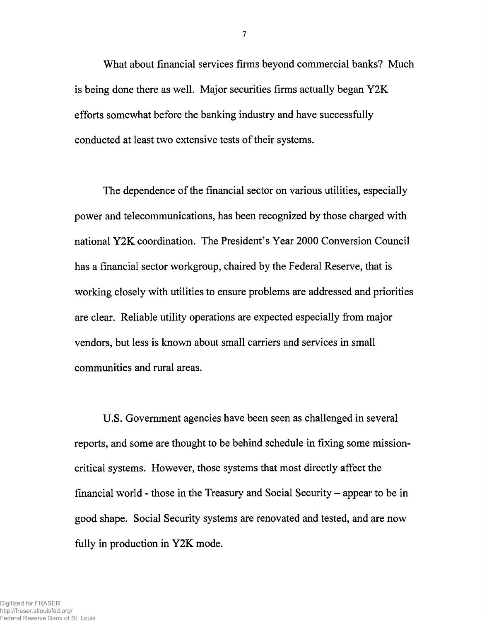What about financial services firms beyond commercial banks? Much is being done there as well. Major securities firms actually began Y2K efforts somewhat before the banking industry and have successfully conducted at least two extensive tests of their systems.

The dependence of the financial sector on various utilities, especially power and telecommunications, has been recognized by those charged with national Y2K coordination. The President's Year 2000 Conversion Council has a financial sector workgroup, chaired by the Federal Reserve, that is working closely with utilities to ensure problems are addressed and priorities are clear. Reliable utility operations are expected especially from major vendors, but less is known about small carriers and services in small communities and rural areas.

U.S. Government agencies have been seen as challenged in several reports, and some are thought to be behind schedule in fixing some missioncritical systems. However, those systems that most directly affect the financial world - those in the Treasury and Social Security – appear to be in good shape. Social Security systems are renovated and tested, and are now fully in production in Y2K mode.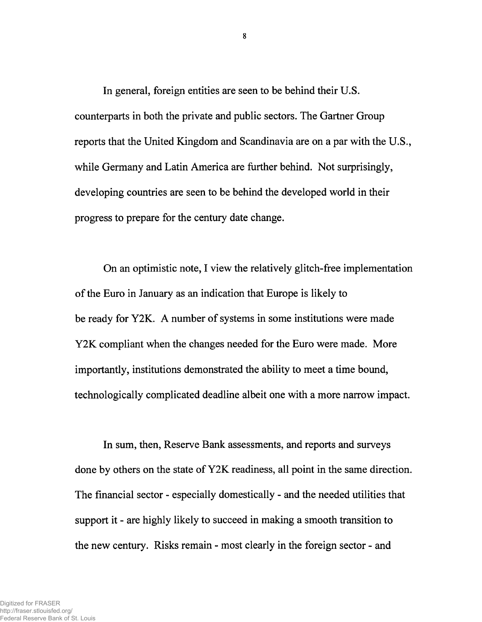In general, foreign entities are seen to be behind their U.S. counterparts in both the private and public sectors. The Gartner Group reports that the United Kingdom and Scandinavia are on a par with the U.S., while Germany and Latin America are further behind. Not surprisingly, developing countries are seen to be behind the developed world in their progress to prepare for the century date change.

On an optimistic note, I view the relatively glitch-free implementation of the Euro in January as an indication that Europe is likely to be ready for Y2K. A number of systems in some institutions were made Y2K compliant when the changes needed for the Euro were made. More importantly, institutions demonstrated the ability to meet a time bound, technologically complicated deadline albeit one with a more narrow impact.

In sum, then, Reserve Bank assessments, and reports and surveys done by others on the state of Y2K readiness, all point in the same direction. The financial sector - especially domestically - and the needed utilities that support it - are highly likely to succeed in making a smooth transition to the new century. Risks remain - most clearly in the foreign sector - and

 $\bf{8}$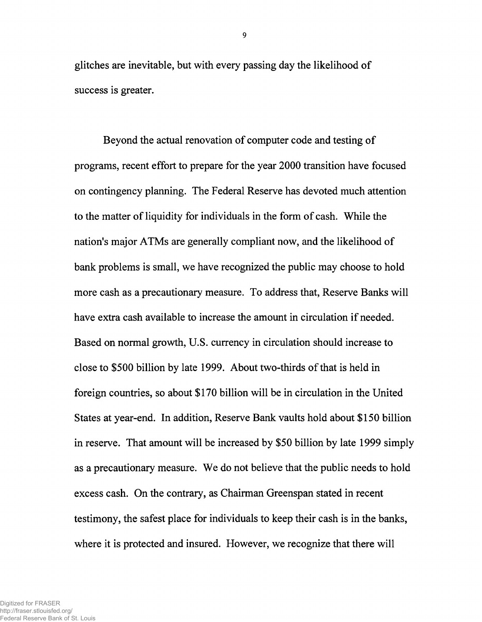glitches are inevitable, but with every passing day the likelihood of success is greater.

Beyond the actual renovation of computer code and testing of programs, recent effort to prepare for the year 2000 transition have focused on contingency planning. The Federal Reserve has devoted much attention to the matter of liquidity for individuals in the form of cash. While the nation's major ATMs are generally compliant now, and the likelihood of bank problems is small, we have recognized the public may choose to hold more cash as a precautionary measure. To address that, Reserve Banks will have extra cash available to increase the amount in circulation if needed. Based on normal growth, U.S. currency in circulation should increase to close to \$500 billion by late 1999. About two-thirds of that is held in foreign countries, so about \$170 billion will be in circulation in the United States at year-end. In addition, Reserve Bank vaults hold about \$150 billion in reserve. That amount will be increased by \$50 billion by late 1999 simply as a precautionary measure. We do not believe that the public needs to hold excess cash. On the contrary, as Chairman Greenspan stated in recent testimony, the safest place for individuals to keep their cash is in the banks, where it is protected and insured. However, we recognize that there will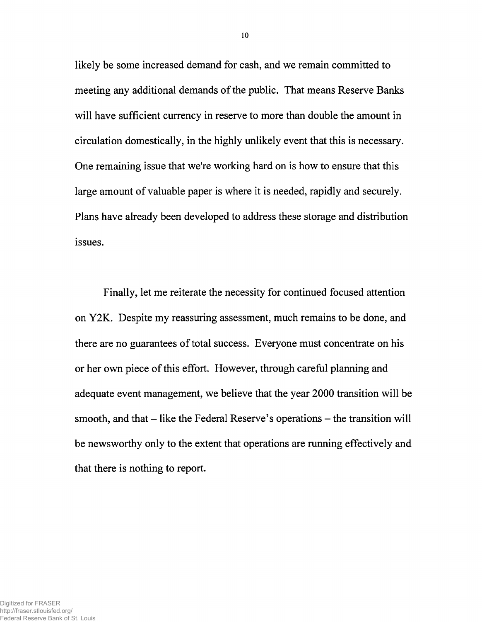likely be some increased demand for cash, and we remain committed to meeting any additional demands of the public. That means Reserve Banks will have sufficient currency in reserve to more than double the amount in circulation domestically, in the highly unlikely event that this is necessary. One remaining issue that we're working hard on is how to ensure that this large amount of valuable paper is where it is needed, rapidly and securely. Plans have already been developed to address these storage and distribution issues.

Finally, let me reiterate the necessity for continued focused attention on Y2K. Despite my reassuring assessment, much remains to be done, and there are no guarantees of total success. Everyone must concentrate on his or her own piece of this effort. However, through careful planning and adequate event management, we believe that the year 2000 transition will be smooth, and that – like the Federal Reserve's operations – the transition will be newsworthy only to the extent that operations are running effectively and that there is nothing to report.